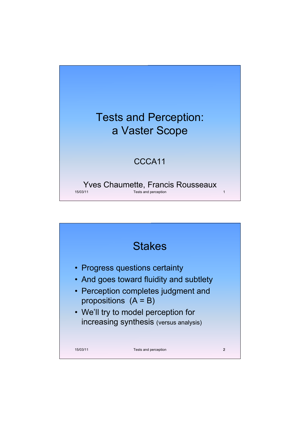

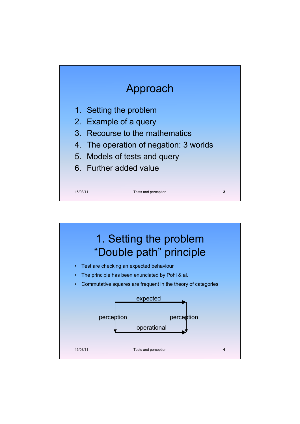

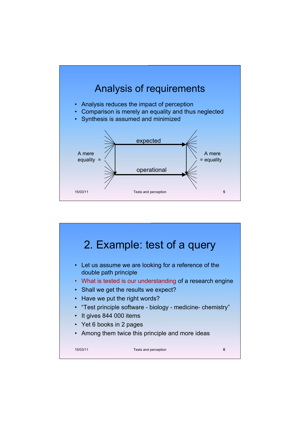

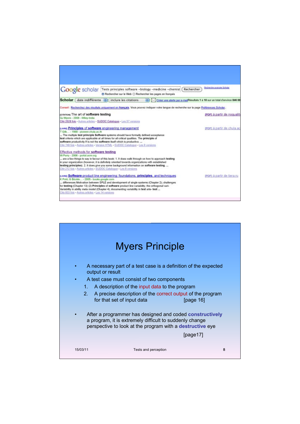|                                                                                                                                                 | Google scholar Tests principles software -biology -medicine -chemist<br>Rechercher sur le Web ( Rechercher les pages en français                                                                                                                                                                                                                                                     | Rechercher | Resherche avangée Scholar                                                 |
|-------------------------------------------------------------------------------------------------------------------------------------------------|--------------------------------------------------------------------------------------------------------------------------------------------------------------------------------------------------------------------------------------------------------------------------------------------------------------------------------------------------------------------------------------|------------|---------------------------------------------------------------------------|
| <b>Scholar</b>                                                                                                                                  | date indifférente [1] [ inclure les citations                                                                                                                                                                                                                                                                                                                                        |            | Créer une alerte par e-mailRésultats 1 à 10 sur un total d'environ 846 00 |
|                                                                                                                                                 | Conseil : Recherchez des résultats uniquement en français. Vous pouvez indiquer votre langue de recherche sur la page Préférences Scholar                                                                                                                                                                                                                                            |            |                                                                           |
| каталон; The art of software testing<br>GJ Myers - 2008 - Wiley-India                                                                           | Cité 2528 fois - Autres articles - SUDOC Catalogue - Les 57 versions                                                                                                                                                                                                                                                                                                                 |            | (PDF) à partir de noqualit                                                |
| tuwes Principles of software engineering management<br>T Gib - 1988 - pioneer.chula.ac.th                                                       | The multiple test principle Software systems should have formally defined acceptance<br>test criteria which are applicable at all times for all critical qualities. The principle of<br>software productivity If is not the software itself which is productive.<br>Cité 749 fois - Autres articles - Version HTML - SUDOC Catalogue - Les 9 versions                                |            | (PDF) à partir de chula ac                                                |
| Effective methods for software testing<br>W Perry - 2006 - portal acm org<br>Cité 212 fais - Autres articles - SUDOC Catalogue - Les 9 versions | are a few things to say in favour of this book: 1. It does walk through on how to approach testing<br>in your organization (however, it is definitely oriented towards organizations with established<br>testing principles). 2. It does give you some background information on software testing.                                                                                   |            |                                                                           |
| K Pohl, G Böckle - 2005 - books.google.com<br>Cité 833 fois - Autres articles - Les 14 versions                                                 | p.wsg Software product line engineering: foundations, principles, and techniques<br>differences Motivation between SPLE and development of single systems (Chapter 2): challenges<br>for testing (Chapter 13) (2) Principles of software product line variability; the orthogonal vari-<br>Variability in ability meta model (Chapter 4); documenting variability in test arte- test |            | (PDF) à partir de tiera.ru                                                |
|                                                                                                                                                 |                                                                                                                                                                                                                                                                                                                                                                                      |            |                                                                           |

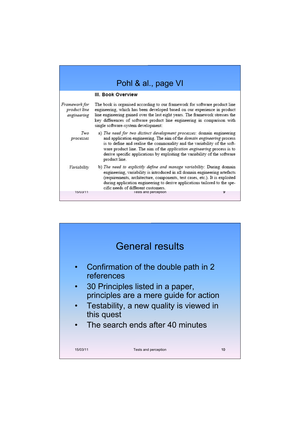| Pohl & al., page VI                          |                                                                                                                                                                                                                                                                                                                                                                                                                |  |  |
|----------------------------------------------|----------------------------------------------------------------------------------------------------------------------------------------------------------------------------------------------------------------------------------------------------------------------------------------------------------------------------------------------------------------------------------------------------------------|--|--|
|                                              | III. Book Overview                                                                                                                                                                                                                                                                                                                                                                                             |  |  |
| Framework for<br>product line<br>engineering | The book is organised according to our framework for software product line<br>engineering, which has been developed based on our experience in product<br>line engineering gained over the last eight years. The framework stresses the<br>key differences of software product line engineering in comparison with<br>single software-system development:                                                      |  |  |
| Two<br>processes                             | a) The need for two distinct development processes: domain engineering<br>and application engineering. The aim of the domain engineering process<br>is to define and realise the commonality and the variability of the soft-<br>ware product line. The aim of the <i>application engineering</i> process is to<br>derive specific applications by exploiting the variability of the software<br>product line. |  |  |
| Variability                                  | b) The need to explicitly define and manage variability: During domain<br>engineering, variability is introduced in all domain engineering artefacts<br>(requirements, architecture, components, test cases, etc.). It is exploited<br>during application engineering to derive applications tailored to the spe-<br>cific needs of different customers.                                                       |  |  |
| 15/03/11                                     | 9<br><b>lests and perception</b>                                                                                                                                                                                                                                                                                                                                                                               |  |  |

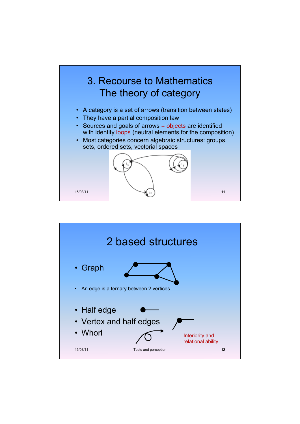

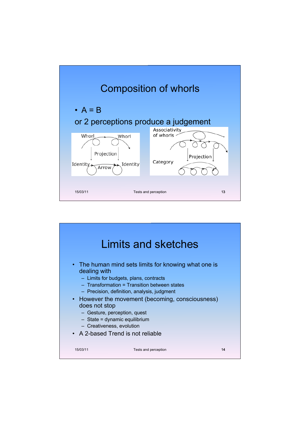

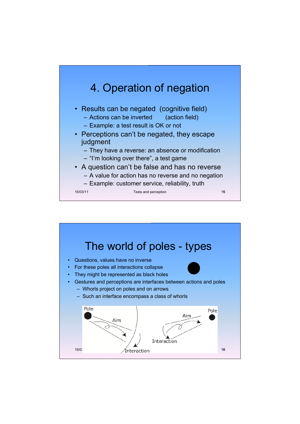

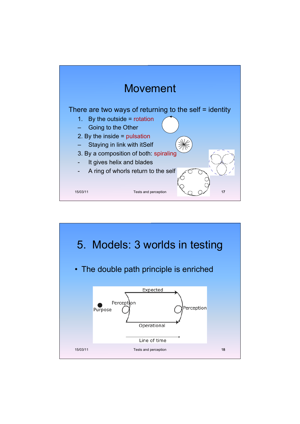

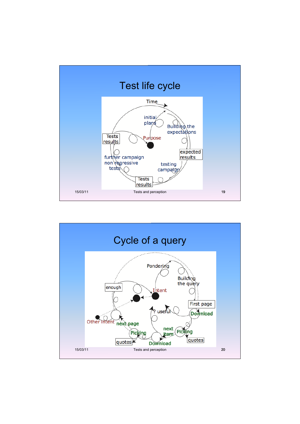

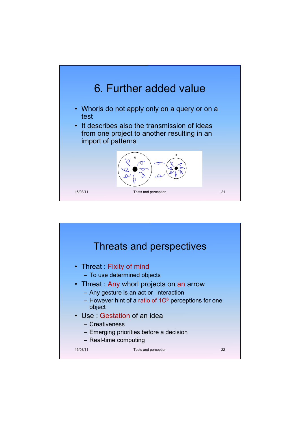